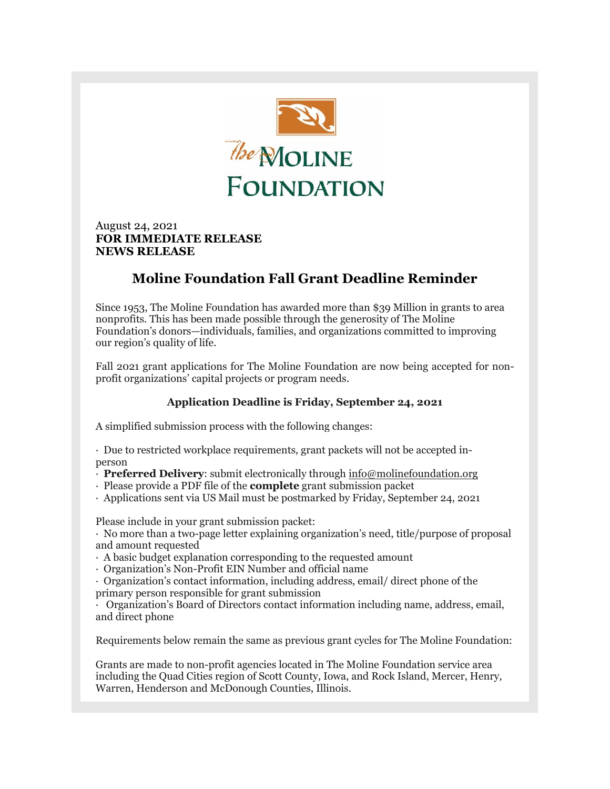

August 24, 2021 **FOR IMMEDIATE RELEASE NEWS RELEASE**

## **Moline Foundation Fall Grant Deadline Reminder**

Since 1953, The Moline Foundation has awarded more than \$39 Million in grants to area nonprofits. This has been made possible through the generosity of The Moline Foundation's donors—individuals, families, and organizations committed to improving our region's quality of life.

Fall 2021 grant applications for The Moline Foundation are now being accepted for nonprofit organizations' capital projects or program needs.

## **Application Deadline is Friday, September 24, 2021**

A simplified submission process with the following changes:

· Due to restricted workplace requirements, grant packets will not be accepted inperson

- · **Preferred Delivery**: submit electronically through [info@molinefoundation.org](mailto:info@molinefoundation.org)
- · Please provide a PDF file of the **complete** grant submission packet
- · Applications sent via US Mail must be postmarked by Friday, September 24, 2021

Please include in your grant submission packet:

· No more than a two-page letter explaining organization's need, title/purpose of proposal and amount requested

- · A basic budget explanation corresponding to the requested amount
- · Organization's Non-Profit EIN Number and official name

· Organization's contact information, including address, email/ direct phone of the primary person responsible for grant submission

· Organization's Board of Directors contact information including name, address, email, and direct phone

Requirements below remain the same as previous grant cycles for The Moline Foundation:

Grants are made to non-profit agencies located in The Moline Foundation service area including the Quad Cities region of Scott County, Iowa, and Rock Island, Mercer, Henry, Warren, Henderson and McDonough Counties, Illinois.